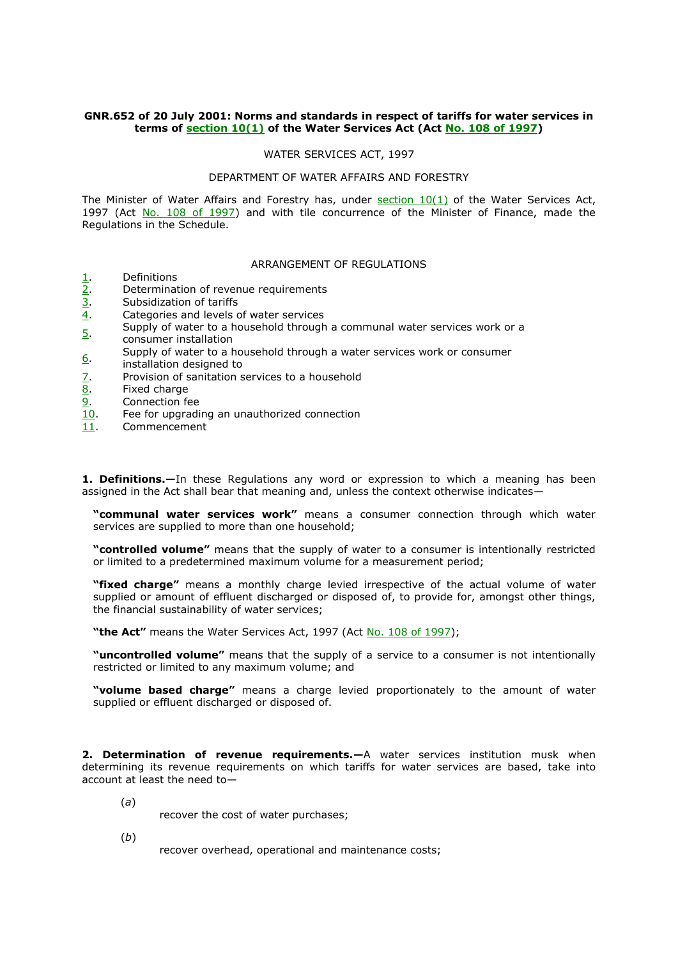## **GNR.652 of 20 July 2001: Norms and standards in respect of tariffs for water services in terms of [section 10\(1\)](http://www.mylexisnexis.co.za/nxt/gateway.dll/jilc/kilc/kstg/0stg/1stg/p2cj#g1) of the Water Services Act (Act [No. 108 of 1997\)](http://www.mylexisnexis.co.za/nxt/gateway.dll/jilc/kilc/kstg/0stg/1stg#g0)**

## WATER SERVICES ACT, 1997

## DEPARTMENT OF WATER AFFAIRS AND FORESTRY

The Minister of Water Affairs and Forestry has, under  $section 10(1)$  of the Water Services Act, 1997 (Act [No. 108 of 1997\)](http://www.mylexisnexis.co.za/nxt/gateway.dll/jilc/kilc/kstg/0stg/1stg#g0) and with tile concurrence of the Minister of Finance, made the Regulations in the Schedule.

## ARRANGEMENT OF REGULATIONS

- [1.](http://www.mylexisnexis.co.za/nxt/gateway.dll/jilc/kilc/kstg/0stg/2stg/v4cj/c5cj/d5cj#g0) Definitions
- $\frac{2}{3}$ . Determination of revenue requirements  $\frac{3}{3}$ .
- Subsidization of tariffs
- [4.](http://www.mylexisnexis.co.za/nxt/gateway.dll/jilc/kilc/kstg/0stg/2stg/v4cj/c5cj/g5cj#g0) Categories and levels of water services
- [5.](http://www.mylexisnexis.co.za/nxt/gateway.dll/jilc/kilc/kstg/0stg/2stg/v4cj/c5cj/h5cj#g0) Supply of water to a household through a communal water services work or a
- consumer installation
- [6.](http://www.mylexisnexis.co.za/nxt/gateway.dll/jilc/kilc/kstg/0stg/2stg/v4cj/c5cj/i5cj#g0) Supply of water to a household through a water services work or consumer
- installation designed to
- [7.](http://www.mylexisnexis.co.za/nxt/gateway.dll/jilc/kilc/kstg/0stg/2stg/v4cj/c5cj/j5cj#g0) Provision of sanitation services to a household
- [8.](http://www.mylexisnexis.co.za/nxt/gateway.dll/jilc/kilc/kstg/0stg/2stg/v4cj/c5cj/k5cj#g0) Fixed charge
- [9.](http://www.mylexisnexis.co.za/nxt/gateway.dll/jilc/kilc/kstg/0stg/2stg/v4cj/c5cj/l5cj#g0) Connection fee
- [10.](http://www.mylexisnexis.co.za/nxt/gateway.dll/jilc/kilc/kstg/0stg/2stg/v4cj/c5cj/m5cj#g0) Fee for upgrading an unauthorized connection
- [11.](http://www.mylexisnexis.co.za/nxt/gateway.dll/jilc/kilc/kstg/0stg/2stg/v4cj/c5cj/n5cj#g0) Commencement

**1. Definitions.—**In these Regulations any word or expression to which a meaning has been assigned in the Act shall bear that meaning and, unless the context otherwise indicates—

**"communal water services work"** means a consumer connection through which water services are supplied to more than one household;

**"controlled volume"** means that the supply of water to a consumer is intentionally restricted or limited to a predetermined maximum volume for a measurement period;

**"fixed charge"** means a monthly charge levied irrespective of the actual volume of water supplied or amount of effluent discharged or disposed of, to provide for, amongst other things, the financial sustainability of water services;

"the Act" means the Water Services Act, 1997 (Act [No. 108 of 1997\)](http://www.mylexisnexis.co.za/nxt/gateway.dll/jilc/kilc/kstg/0stg/1stg#g0);

**"uncontrolled volume"** means that the supply of a service to a consumer is not intentionally restricted or limited to any maximum volume; and

**"volume based charge"** means a charge levied proportionately to the amount of water supplied or effluent discharged or disposed of.

**2. Determination of revenue requirements.—**A water services institution musk when determining its revenue requirements on which tariffs for water services are based, take into account at least the need to—

- (*a*)
- recover the cost of water purchases;
- (*b*)

recover overhead, operational and maintenance costs;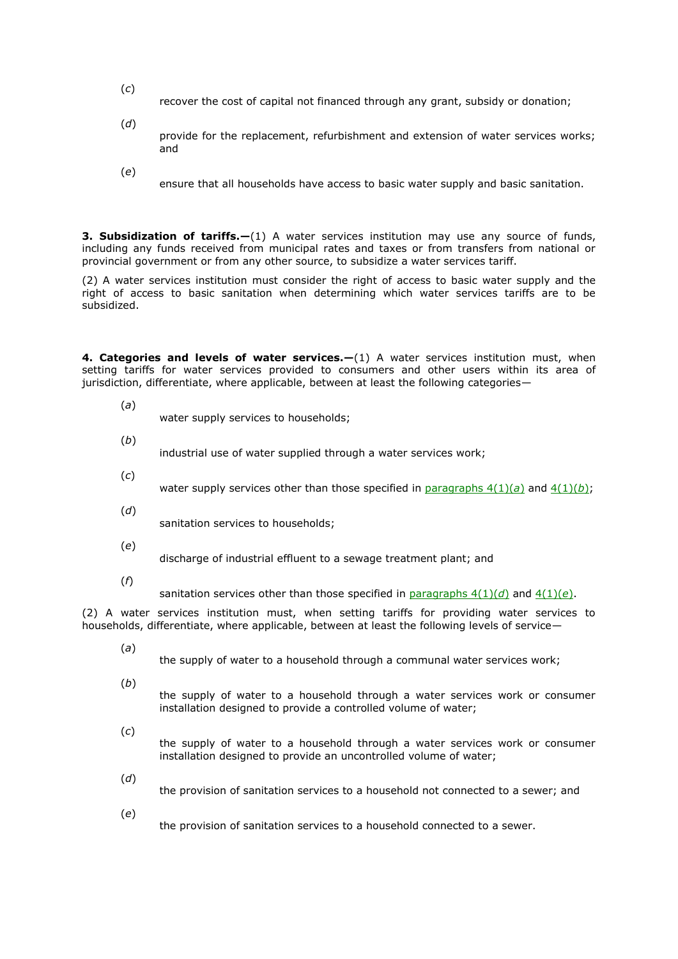- (*c*) recover the cost of capital not financed through any grant, subsidy or donation;
- (*d*) provide for the replacement, refurbishment and extension of water services works; and
- (*e*)

ensure that all households have access to basic water supply and basic sanitation.

**3. Subsidization of tariffs.**—(1) A water services institution may use any source of funds, including any funds received from municipal rates and taxes or from transfers from national or provincial government or from any other source, to subsidize a water services tariff.

(2) A water services institution must consider the right of access to basic water supply and the right of access to basic sanitation when determining which water services tariffs are to be subsidized.

**4. Categories and levels of water services.<sup>1</sup>(1)** A water services institution must, when setting tariffs for water services provided to consumers and other users within its area of jurisdiction, differentiate, where applicable, between at least the following categories—

(*a*)

water supply services to households;

(*b*)

industrial use of water supplied through a water services work;

- (*c*) water supply services other than those specified in paragraphs  $4(1)(a)$  and  $4(1)(b)$ ;
- (*d*) sanitation services to households;
- (*e*) discharge of industrial effluent to a sewage treatment plant; and
- (*f*)

sanitation services other than those specified in [paragraphs 4\(1\)\(](http://www.mylexisnexis.co.za/nxt/gateway.dll/jilc/kilc/kstg/0stg/2stg/v4cj/c5cj/g5cj#g5)*d*) and [4\(1\)\(](http://www.mylexisnexis.co.za/nxt/gateway.dll/jilc/kilc/kstg/0stg/2stg/v4cj/c5cj/g5cj#g6)*e*).

(2) A water services institution must, when setting tariffs for providing water services to households, differentiate, where applicable, between at least the following levels of service—

(*a*)

the supply of water to a household through a communal water services work;

(*b*)

the supply of water to a household through a water services work or consumer installation designed to provide a controlled volume of water;

- (*c*) the supply of water to a household through a water services work or consumer installation designed to provide an uncontrolled volume of water;
- (*d*)

the provision of sanitation services to a household not connected to a sewer; and

(*e*)

the provision of sanitation services to a household connected to a sewer.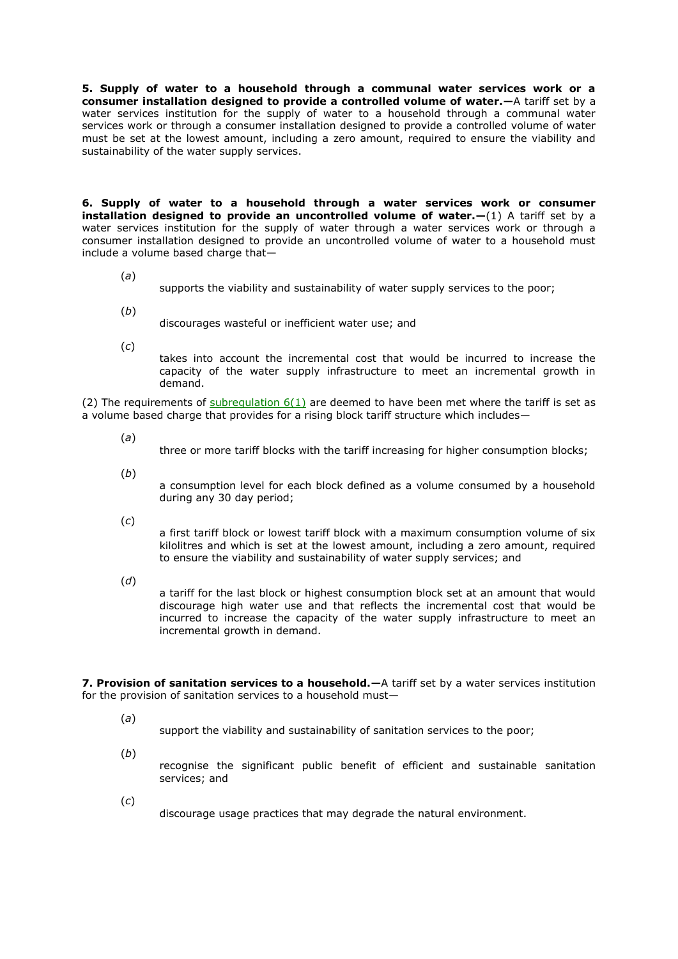**5. Supply of water to a household through a communal water services work or a consumer installation designed to provide a controlled volume of water.—**A tariff set by a water services institution for the supply of water to a household through a communal water services work or through a consumer installation designed to provide a controlled volume of water must be set at the lowest amount, including a zero amount, required to ensure the viability and sustainability of the water supply services.

**6. Supply of water to a household through a water services work or consumer installation designed to provide an uncontrolled volume of water.—**(1) A tariff set by a water services institution for the supply of water through a water services work or through a consumer installation designed to provide an uncontrolled volume of water to a household must include a volume based charge that—

- (*a*)
	- supports the viability and sustainability of water supply services to the poor;
- (*b*)
	- discourages wasteful or inefficient water use; and
- (*c*)

takes into account the incremental cost that would be incurred to increase the capacity of the water supply infrastructure to meet an incremental growth in demand.

(2) The requirements of subregulation  $6(1)$  are deemed to have been met where the tariff is set as a volume based charge that provides for a rising block tariff structure which includes—

- (*a*)
	- three or more tariff blocks with the tariff increasing for higher consumption blocks;
- (*b*)

a consumption level for each block defined as a volume consumed by a household during any 30 day period;

(*c*)

a first tariff block or lowest tariff block with a maximum consumption volume of six kilolitres and which is set at the lowest amount, including a zero amount, required to ensure the viability and sustainability of water supply services; and

(*d*)

a tariff for the last block or highest consumption block set at an amount that would discourage high water use and that reflects the incremental cost that would be incurred to increase the capacity of the water supply infrastructure to meet an incremental growth in demand.

**7. Provision of sanitation services to a household.—**A tariff set by a water services institution for the provision of sanitation services to a household must—

(*a*)

support the viability and sustainability of sanitation services to the poor;

- (*b*) recognise the significant public benefit of efficient and sustainable sanitation services; and
- (*c*)

discourage usage practices that may degrade the natural environment.